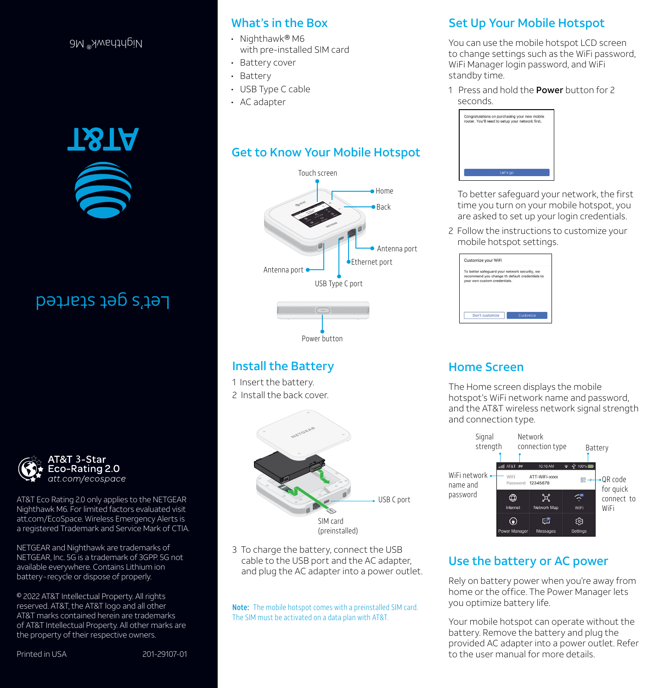### Nighthawk® M6



Let's get started



AT&T Eco Rating 2.0 only applies to the NETGEAR Nighthawk M6. For limited factors evaluated visit att.com/EcoSpace. Wireless Emergency Alerts is a registered Trademark and Service Mark of CTIA.

NETGEAR and Nighthawk are trademarks of NETGEAR, Inc. 5G is a trademark of 3GPP. 5G not available everywhere. Contains Lithium ion battery-recycle or dispose of properly.

© 2022 AT&T Intellectual Property. All rights reserved. AT&T, the AT&T logo and all other AT&T marks contained herein are trademarks of AT&T Intellectual Property. All other marks are the property of their respective owners.

### What's in the Box

- Nighthawk® M6 with pre-installed SIM card
- Battery cover
- Battery
- USB Type C cable
- AC adapter

### Get to Know Your Mobile Hotspot



### Install the Battery

1 Insert the battery. 2 Install the back cover.



3 To charge the battery, connect the USB cable to the USB port and the AC adapter, and plug the AC adapter into a power outlet.

Note: The mobile hotspot comes with a preinstalled SIM card. The SIM must be activated on a data plan with AT&T.

# Set Up Your Mobile Hotspot

You can use the mobile hotspot LCD screen to change settings such as the WiFi password, WiFi Manager login password, and WiFi standby time.

1 Press and hold the **Power** button for 2 seconds.



To better safeguard your network, the first time you turn on your mobile hotspot, you are asked to set up your login credentials.

2 Follow the instructions to customize your mobile hotspot settings.

| Customize your WiFi                                                                                                             |  |
|---------------------------------------------------------------------------------------------------------------------------------|--|
| To better safequard your network security, we<br>recommend you change th default credentials to<br>vour own custom credentials. |  |
|                                                                                                                                 |  |

# Home Screen

The Home screen displays the mobile hotspot's WiFi network name and password, and the AT&T wireless network signal strength and connection type.



## Use the battery or AC power

Rely on battery power when you're away from home or the office. The Power Manager lets you optimize battery life.

Your mobile hotspot can operate without the battery. Remove the battery and plug the provided AC adapter into a power outlet. Refer to the user manual for more details.

Printed in USA 201-29107-01